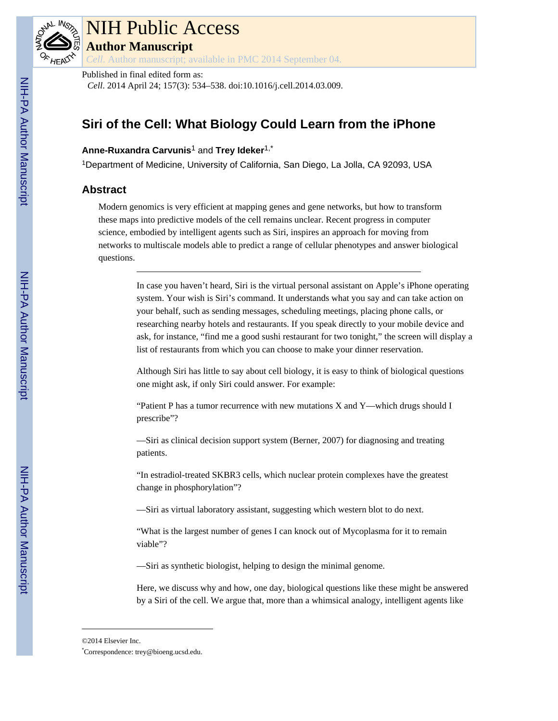

# NIH Public Access **Author Manuscript**

*Cell*. Author manuscript; available in PMC 2014 September 04.

Published in final edited form as:

*Cell*. 2014 April 24; 157(3): 534–538. doi:10.1016/j.cell.2014.03.009.

# **Siri of the Cell: What Biology Could Learn from the iPhone**

# **Anne-Ruxandra Carvunis**1 and **Trey Ideker**1,\*

<sup>1</sup>Department of Medicine, University of California, San Diego, La Jolla, CA 92093, USA

# **Abstract**

Modern genomics is very efficient at mapping genes and gene networks, but how to transform these maps into predictive models of the cell remains unclear. Recent progress in computer science, embodied by intelligent agents such as Siri, inspires an approach for moving from networks to multiscale models able to predict a range of cellular phenotypes and answer biological questions.

> In case you haven't heard, Siri is the virtual personal assistant on Apple's iPhone operating system. Your wish is Siri's command. It understands what you say and can take action on your behalf, such as sending messages, scheduling meetings, placing phone calls, or researching nearby hotels and restaurants. If you speak directly to your mobile device and ask, for instance, "find me a good sushi restaurant for two tonight," the screen will display a list of restaurants from which you can choose to make your dinner reservation.

Although Siri has little to say about cell biology, it is easy to think of biological questions one might ask, if only Siri could answer. For example:

"Patient P has a tumor recurrence with new mutations X and Y—which drugs should I prescribe"?

—Siri as clinical decision support system (Berner, 2007) for diagnosing and treating patients.

"In estradiol-treated SKBR3 cells, which nuclear protein complexes have the greatest change in phosphorylation"?

—Siri as virtual laboratory assistant, suggesting which western blot to do next.

"What is the largest number of genes I can knock out of Mycoplasma for it to remain viable"?

—Siri as synthetic biologist, helping to design the minimal genome.

Here, we discuss why and how, one day, biological questions like these might be answered by a Siri of the cell. We argue that, more than a whimsical analogy, intelligent agents like

<sup>©2014</sup> Elsevier Inc.

<sup>\*</sup>Correspondence: trey@bioeng.ucsd.edu.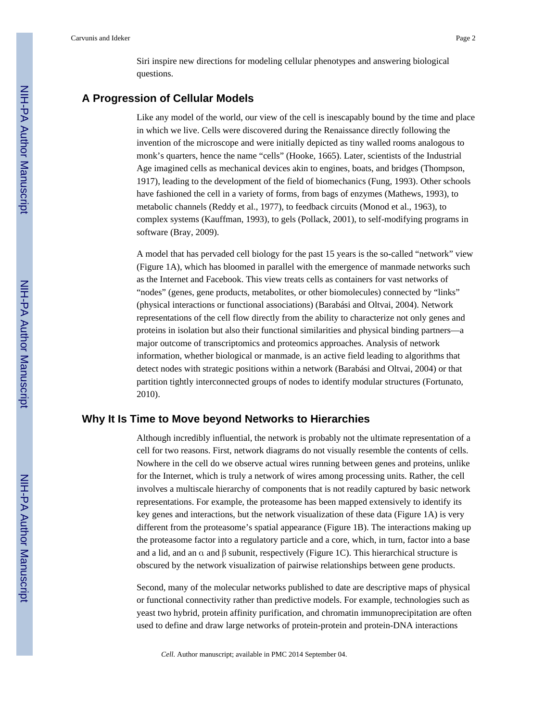Siri inspire new directions for modeling cellular phenotypes and answering biological questions.

#### **A Progression of Cellular Models**

Like any model of the world, our view of the cell is inescapably bound by the time and place in which we live. Cells were discovered during the Renaissance directly following the invention of the microscope and were initially depicted as tiny walled rooms analogous to monk's quarters, hence the name "cells" (Hooke, 1665). Later, scientists of the Industrial Age imagined cells as mechanical devices akin to engines, boats, and bridges (Thompson, 1917), leading to the development of the field of biomechanics (Fung, 1993). Other schools have fashioned the cell in a variety of forms, from bags of enzymes (Mathews, 1993), to metabolic channels (Reddy et al., 1977), to feedback circuits (Monod et al., 1963), to complex systems (Kauffman, 1993), to gels (Pollack, 2001), to self-modifying programs in software (Bray, 2009).

A model that has pervaded cell biology for the past 15 years is the so-called "network" view (Figure 1A), which has bloomed in parallel with the emergence of manmade networks such as the Internet and Facebook. This view treats cells as containers for vast networks of "nodes" (genes, gene products, metabolites, or other biomolecules) connected by "links" (physical interactions or functional associations) (Barabási and Oltvai, 2004). Network representations of the cell flow directly from the ability to characterize not only genes and proteins in isolation but also their functional similarities and physical binding partners—a major outcome of transcriptomics and proteomics approaches. Analysis of network information, whether biological or manmade, is an active field leading to algorithms that detect nodes with strategic positions within a network (Barabási and Oltvai, 2004) or that partition tightly interconnected groups of nodes to identify modular structures (Fortunato, 2010).

#### **Why It Is Time to Move beyond Networks to Hierarchies**

Although incredibly influential, the network is probably not the ultimate representation of a cell for two reasons. First, network diagrams do not visually resemble the contents of cells. Nowhere in the cell do we observe actual wires running between genes and proteins, unlike for the Internet, which is truly a network of wires among processing units. Rather, the cell involves a multiscale hierarchy of components that is not readily captured by basic network representations. For example, the proteasome has been mapped extensively to identify its key genes and interactions, but the network visualization of these data (Figure 1A) is very different from the proteasome's spatial appearance (Figure 1B). The interactions making up the proteasome factor into a regulatory particle and a core, which, in turn, factor into a base and a lid, and an  $\alpha$  and  $\beta$  subunit, respectively (Figure 1C). This hierarchical structure is obscured by the network visualization of pairwise relationships between gene products.

Second, many of the molecular networks published to date are descriptive maps of physical or functional connectivity rather than predictive models. For example, technologies such as yeast two hybrid, protein affinity purification, and chromatin immunoprecipitation are often used to define and draw large networks of protein-protein and protein-DNA interactions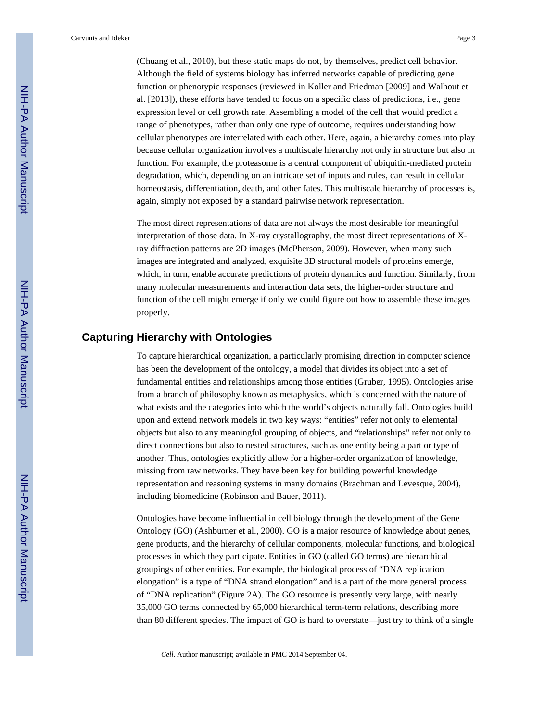Carvunis and Ideker Page 3

(Chuang et al., 2010), but these static maps do not, by themselves, predict cell behavior. Although the field of systems biology has inferred networks capable of predicting gene function or phenotypic responses (reviewed in Koller and Friedman [2009] and Walhout et al. [2013]), these efforts have tended to focus on a specific class of predictions, i.e., gene expression level or cell growth rate. Assembling a model of the cell that would predict a range of phenotypes, rather than only one type of outcome, requires understanding how cellular phenotypes are interrelated with each other. Here, again, a hierarchy comes into play because cellular organization involves a multiscale hierarchy not only in structure but also in function. For example, the proteasome is a central component of ubiquitin-mediated protein degradation, which, depending on an intricate set of inputs and rules, can result in cellular homeostasis, differentiation, death, and other fates. This multiscale hierarchy of processes is, again, simply not exposed by a standard pairwise network representation.

The most direct representations of data are not always the most desirable for meaningful interpretation of those data. In X-ray crystallography, the most direct representations of Xray diffraction patterns are 2D images (McPherson, 2009). However, when many such images are integrated and analyzed, exquisite 3D structural models of proteins emerge, which, in turn, enable accurate predictions of protein dynamics and function. Similarly, from many molecular measurements and interaction data sets, the higher-order structure and function of the cell might emerge if only we could figure out how to assemble these images properly.

# **Capturing Hierarchy with Ontologies**

To capture hierarchical organization, a particularly promising direction in computer science has been the development of the ontology, a model that divides its object into a set of fundamental entities and relationships among those entities (Gruber, 1995). Ontologies arise from a branch of philosophy known as metaphysics, which is concerned with the nature of what exists and the categories into which the world's objects naturally fall. Ontologies build upon and extend network models in two key ways: "entities" refer not only to elemental objects but also to any meaningful grouping of objects, and "relationships" refer not only to direct connections but also to nested structures, such as one entity being a part or type of another. Thus, ontologies explicitly allow for a higher-order organization of knowledge, missing from raw networks. They have been key for building powerful knowledge representation and reasoning systems in many domains (Brachman and Levesque, 2004), including biomedicine (Robinson and Bauer, 2011).

Ontologies have become influential in cell biology through the development of the Gene Ontology (GO) (Ashburner et al., 2000). GO is a major resource of knowledge about genes, gene products, and the hierarchy of cellular components, molecular functions, and biological processes in which they participate. Entities in GO (called GO terms) are hierarchical groupings of other entities. For example, the biological process of "DNA replication elongation" is a type of "DNA strand elongation" and is a part of the more general process of "DNA replication" (Figure 2A). The GO resource is presently very large, with nearly 35,000 GO terms connected by 65,000 hierarchical term-term relations, describing more than 80 different species. The impact of GO is hard to overstate—just try to think of a single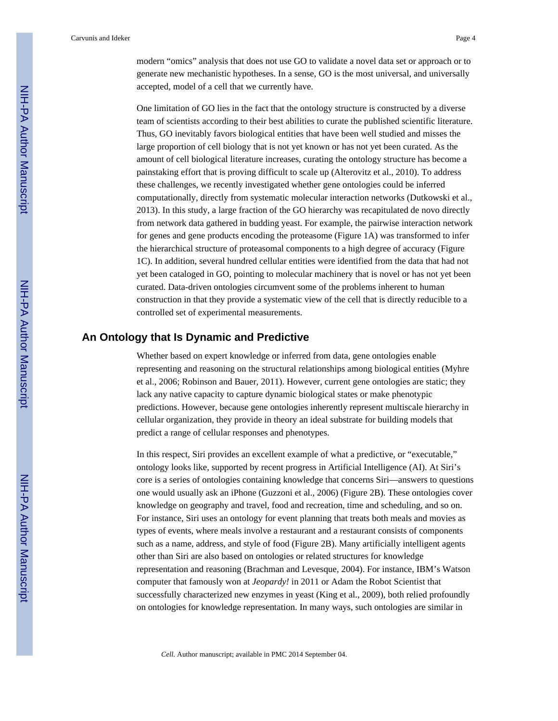modern "omics" analysis that does not use GO to validate a novel data set or approach or to generate new mechanistic hypotheses. In a sense, GO is the most universal, and universally accepted, model of a cell that we currently have.

One limitation of GO lies in the fact that the ontology structure is constructed by a diverse team of scientists according to their best abilities to curate the published scientific literature. Thus, GO inevitably favors biological entities that have been well studied and misses the large proportion of cell biology that is not yet known or has not yet been curated. As the amount of cell biological literature increases, curating the ontology structure has become a painstaking effort that is proving difficult to scale up (Alterovitz et al., 2010). To address these challenges, we recently investigated whether gene ontologies could be inferred computationally, directly from systematic molecular interaction networks (Dutkowski et al., 2013). In this study, a large fraction of the GO hierarchy was recapitulated de novo directly from network data gathered in budding yeast. For example, the pairwise interaction network for genes and gene products encoding the proteasome (Figure 1A) was transformed to infer the hierarchical structure of proteasomal components to a high degree of accuracy (Figure 1C). In addition, several hundred cellular entities were identified from the data that had not yet been cataloged in GO, pointing to molecular machinery that is novel or has not yet been curated. Data-driven ontologies circumvent some of the problems inherent to human construction in that they provide a systematic view of the cell that is directly reducible to a controlled set of experimental measurements.

## **An Ontology that Is Dynamic and Predictive**

Whether based on expert knowledge or inferred from data, gene ontologies enable representing and reasoning on the structural relationships among biological entities (Myhre et al., 2006; Robinson and Bauer, 2011). However, current gene ontologies are static; they lack any native capacity to capture dynamic biological states or make phenotypic predictions. However, because gene ontologies inherently represent multiscale hierarchy in cellular organization, they provide in theory an ideal substrate for building models that predict a range of cellular responses and phenotypes.

In this respect, Siri provides an excellent example of what a predictive, or "executable," ontology looks like, supported by recent progress in Artificial Intelligence (AI). At Siri's core is a series of ontologies containing knowledge that concerns Siri—answers to questions one would usually ask an iPhone (Guzzoni et al., 2006) (Figure 2B). These ontologies cover knowledge on geography and travel, food and recreation, time and scheduling, and so on. For instance, Siri uses an ontology for event planning that treats both meals and movies as types of events, where meals involve a restaurant and a restaurant consists of components such as a name, address, and style of food (Figure 2B). Many artificially intelligent agents other than Siri are also based on ontologies or related structures for knowledge representation and reasoning (Brachman and Levesque, 2004). For instance, IBM's Watson computer that famously won at *Jeopardy!* in 2011 or Adam the Robot Scientist that successfully characterized new enzymes in yeast (King et al., 2009), both relied profoundly on ontologies for knowledge representation. In many ways, such ontologies are similar in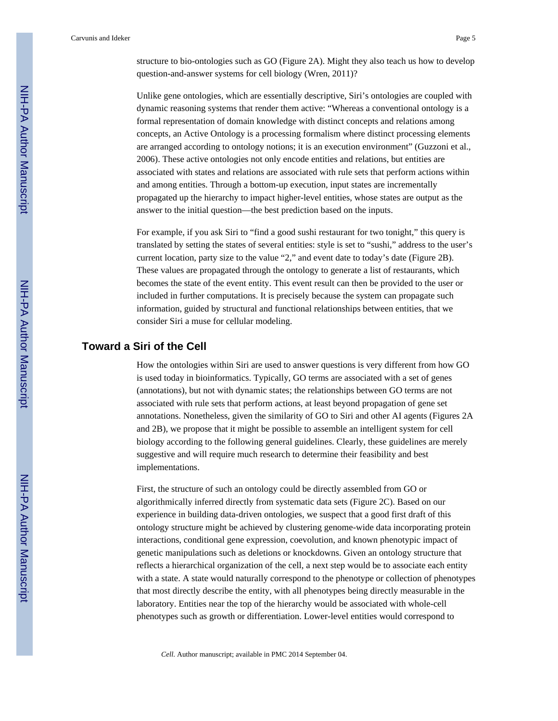Unlike gene ontologies, which are essentially descriptive, Siri's ontologies are coupled with dynamic reasoning systems that render them active: "Whereas a conventional ontology is a formal representation of domain knowledge with distinct concepts and relations among concepts, an Active Ontology is a processing formalism where distinct processing elements are arranged according to ontology notions; it is an execution environment" (Guzzoni et al., 2006). These active ontologies not only encode entities and relations, but entities are associated with states and relations are associated with rule sets that perform actions within and among entities. Through a bottom-up execution, input states are incrementally propagated up the hierarchy to impact higher-level entities, whose states are output as the answer to the initial question—the best prediction based on the inputs.

For example, if you ask Siri to "find a good sushi restaurant for two tonight," this query is translated by setting the states of several entities: style is set to "sushi," address to the user's current location, party size to the value "2," and event date to today's date (Figure 2B). These values are propagated through the ontology to generate a list of restaurants, which becomes the state of the event entity. This event result can then be provided to the user or included in further computations. It is precisely because the system can propagate such information, guided by structural and functional relationships between entities, that we consider Siri a muse for cellular modeling.

## **Toward a Siri of the Cell**

How the ontologies within Siri are used to answer questions is very different from how GO is used today in bioinformatics. Typically, GO terms are associated with a set of genes (annotations), but not with dynamic states; the relationships between GO terms are not associated with rule sets that perform actions, at least beyond propagation of gene set annotations. Nonetheless, given the similarity of GO to Siri and other AI agents (Figures 2A and 2B), we propose that it might be possible to assemble an intelligent system for cell biology according to the following general guidelines. Clearly, these guidelines are merely suggestive and will require much research to determine their feasibility and best implementations.

First, the structure of such an ontology could be directly assembled from GO or algorithmically inferred directly from systematic data sets (Figure 2C). Based on our experience in building data-driven ontologies, we suspect that a good first draft of this ontology structure might be achieved by clustering genome-wide data incorporating protein interactions, conditional gene expression, coevolution, and known phenotypic impact of genetic manipulations such as deletions or knockdowns. Given an ontology structure that reflects a hierarchical organization of the cell, a next step would be to associate each entity with a state. A state would naturally correspond to the phenotype or collection of phenotypes that most directly describe the entity, with all phenotypes being directly measurable in the laboratory. Entities near the top of the hierarchy would be associated with whole-cell phenotypes such as growth or differentiation. Lower-level entities would correspond to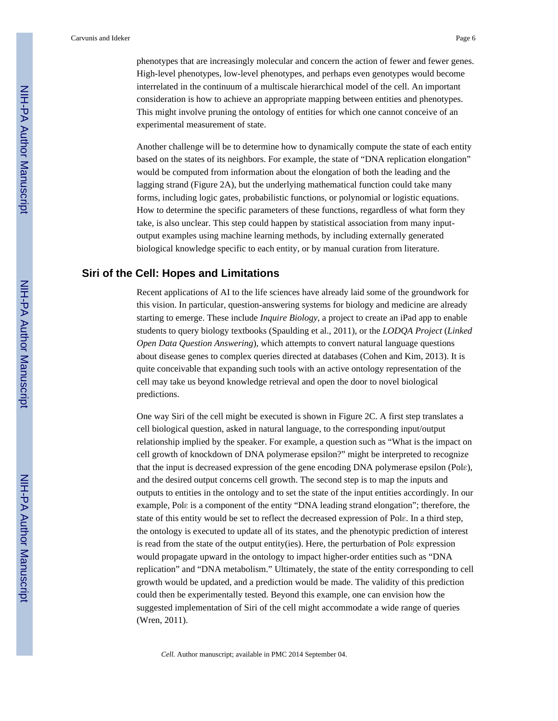phenotypes that are increasingly molecular and concern the action of fewer and fewer genes. High-level phenotypes, low-level phenotypes, and perhaps even genotypes would become interrelated in the continuum of a multiscale hierarchical model of the cell. An important consideration is how to achieve an appropriate mapping between entities and phenotypes. This might involve pruning the ontology of entities for which one cannot conceive of an experimental measurement of state.

Another challenge will be to determine how to dynamically compute the state of each entity based on the states of its neighbors. For example, the state of "DNA replication elongation" would be computed from information about the elongation of both the leading and the lagging strand (Figure 2A), but the underlying mathematical function could take many forms, including logic gates, probabilistic functions, or polynomial or logistic equations. How to determine the specific parameters of these functions, regardless of what form they take, is also unclear. This step could happen by statistical association from many inputoutput examples using machine learning methods, by including externally generated biological knowledge specific to each entity, or by manual curation from literature.

#### **Siri of the Cell: Hopes and Limitations**

Recent applications of AI to the life sciences have already laid some of the groundwork for this vision. In particular, question-answering systems for biology and medicine are already starting to emerge. These include *Inquire Biology*, a project to create an iPad app to enable students to query biology textbooks (Spaulding et al., 2011), or the *LODQA Project* (*Linked Open Data Question Answering*), which attempts to convert natural language questions about disease genes to complex queries directed at databases (Cohen and Kim, 2013). It is quite conceivable that expanding such tools with an active ontology representation of the cell may take us beyond knowledge retrieval and open the door to novel biological predictions.

One way Siri of the cell might be executed is shown in Figure 2C. A first step translates a cell biological question, asked in natural language, to the corresponding input/output relationship implied by the speaker. For example, a question such as "What is the impact on cell growth of knockdown of DNA polymerase epsilon?" might be interpreted to recognize that the input is decreased expression of the gene encoding DNA polymerase epsilon (Polε), and the desired output concerns cell growth. The second step is to map the inputs and outputs to entities in the ontology and to set the state of the input entities accordingly. In our example, Polε is a component of the entity "DNA leading strand elongation"; therefore, the state of this entity would be set to reflect the decreased expression of Polε. In a third step, the ontology is executed to update all of its states, and the phenotypic prediction of interest is read from the state of the output entity(ies). Here, the perturbation of Polε expression would propagate upward in the ontology to impact higher-order entities such as "DNA replication" and "DNA metabolism." Ultimately, the state of the entity corresponding to cell growth would be updated, and a prediction would be made. The validity of this prediction could then be experimentally tested. Beyond this example, one can envision how the suggested implementation of Siri of the cell might accommodate a wide range of queries (Wren, 2011).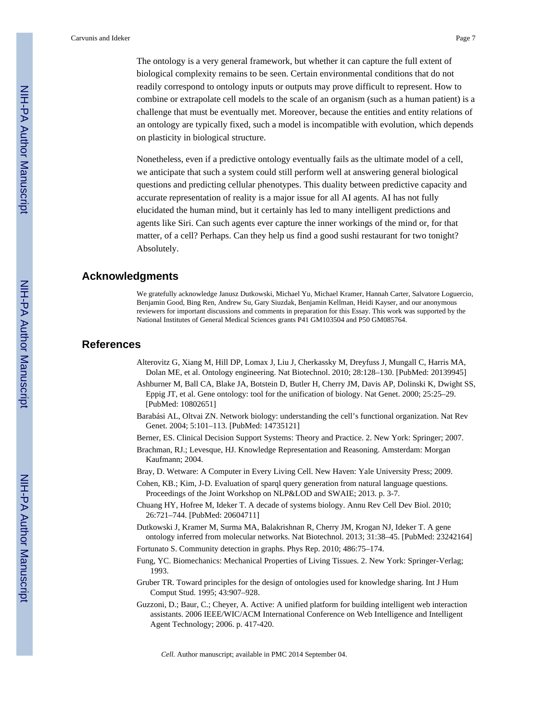The ontology is a very general framework, but whether it can capture the full extent of biological complexity remains to be seen. Certain environmental conditions that do not readily correspond to ontology inputs or outputs may prove difficult to represent. How to combine or extrapolate cell models to the scale of an organism (such as a human patient) is a challenge that must be eventually met. Moreover, because the entities and entity relations of an ontology are typically fixed, such a model is incompatible with evolution, which depends on plasticity in biological structure.

Nonetheless, even if a predictive ontology eventually fails as the ultimate model of a cell, we anticipate that such a system could still perform well at answering general biological questions and predicting cellular phenotypes. This duality between predictive capacity and accurate representation of reality is a major issue for all AI agents. AI has not fully elucidated the human mind, but it certainly has led to many intelligent predictions and agents like Siri. Can such agents ever capture the inner workings of the mind or, for that matter, of a cell? Perhaps. Can they help us find a good sushi restaurant for two tonight? Absolutely.

### **Acknowledgments**

We gratefully acknowledge Janusz Dutkowski, Michael Yu, Michael Kramer, Hannah Carter, Salvatore Loguercio, Benjamin Good, Bing Ren, Andrew Su, Gary Siuzdak, Benjamin Kellman, Heidi Kayser, and our anonymous reviewers for important discussions and comments in preparation for this Essay. This work was supported by the National Institutes of General Medical Sciences grants P41 GM103504 and P50 GM085764.

## **References**

- Alterovitz G, Xiang M, Hill DP, Lomax J, Liu J, Cherkassky M, Dreyfuss J, Mungall C, Harris MA, Dolan ME, et al. Ontology engineering. Nat Biotechnol. 2010; 28:128–130. [PubMed: 20139945]
- Ashburner M, Ball CA, Blake JA, Botstein D, Butler H, Cherry JM, Davis AP, Dolinski K, Dwight SS, Eppig JT, et al. Gene ontology: tool for the unification of biology. Nat Genet. 2000; 25:25–29. [PubMed: 10802651]
- Barabási AL, Oltvai ZN. Network biology: understanding the cell's functional organization. Nat Rev Genet. 2004; 5:101–113. [PubMed: 14735121]
- Berner, ES. Clinical Decision Support Systems: Theory and Practice. 2. New York: Springer; 2007.
- Brachman, RJ.; Levesque, HJ. Knowledge Representation and Reasoning. Amsterdam: Morgan Kaufmann; 2004.
- Bray, D. Wetware: A Computer in Every Living Cell. New Haven: Yale University Press; 2009.
- Cohen, KB.; Kim, J-D. Evaluation of sparql query generation from natural language questions. Proceedings of the Joint Workshop on NLP&LOD and SWAIE; 2013. p. 3-7.
- Chuang HY, Hofree M, Ideker T. A decade of systems biology. Annu Rev Cell Dev Biol. 2010; 26:721–744. [PubMed: 20604711]
- Dutkowski J, Kramer M, Surma MA, Balakrishnan R, Cherry JM, Krogan NJ, Ideker T. A gene ontology inferred from molecular networks. Nat Biotechnol. 2013; 31:38–45. [PubMed: 23242164]
- Fortunato S. Community detection in graphs. Phys Rep. 2010; 486:75–174.
- Fung, YC. Biomechanics: Mechanical Properties of Living Tissues. 2. New York: Springer-Verlag; 1993.
- Gruber TR. Toward principles for the design of ontologies used for knowledge sharing. Int J Hum Comput Stud. 1995; 43:907–928.
- Guzzoni, D.; Baur, C.; Cheyer, A. Active: A unified platform for building intelligent web interaction assistants. 2006 IEEE/WIC/ACM International Conference on Web Intelligence and Intelligent Agent Technology; 2006. p. 417-420.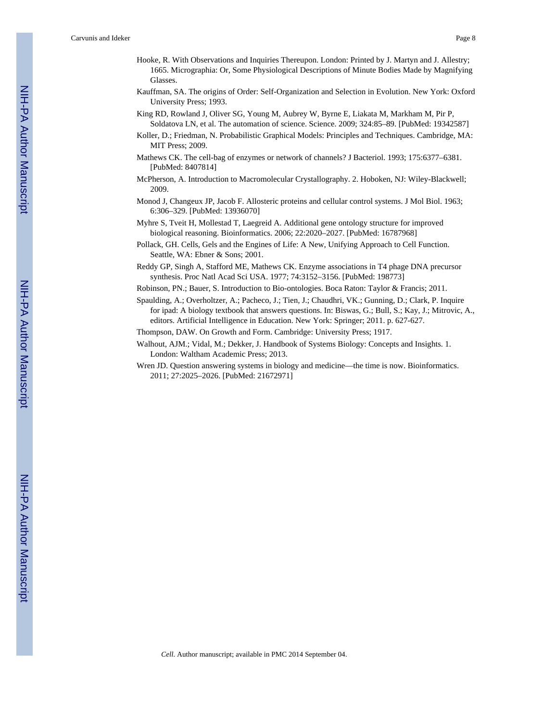- Hooke, R. With Observations and Inquiries Thereupon. London: Printed by J. Martyn and J. Allestry; 1665. Micrographia: Or, Some Physiological Descriptions of Minute Bodies Made by Magnifying Glasses.
- Kauffman, SA. The origins of Order: Self-Organization and Selection in Evolution. New York: Oxford University Press; 1993.
- King RD, Rowland J, Oliver SG, Young M, Aubrey W, Byrne E, Liakata M, Markham M, Pir P, Soldatova LN, et al. The automation of science. Science. 2009; 324:85–89. [PubMed: 19342587]
- Koller, D.; Friedman, N. Probabilistic Graphical Models: Principles and Techniques. Cambridge, MA: MIT Press; 2009.
- Mathews CK. The cell-bag of enzymes or network of channels? J Bacteriol. 1993; 175:6377–6381. [PubMed: 8407814]
- McPherson, A. Introduction to Macromolecular Crystallography. 2. Hoboken, NJ: Wiley-Blackwell; 2009.
- Monod J, Changeux JP, Jacob F. Allosteric proteins and cellular control systems. J Mol Biol. 1963; 6:306–329. [PubMed: 13936070]
- Myhre S, Tveit H, Mollestad T, Laegreid A. Additional gene ontology structure for improved biological reasoning. Bioinformatics. 2006; 22:2020–2027. [PubMed: 16787968]
- Pollack, GH. Cells, Gels and the Engines of Life: A New, Unifying Approach to Cell Function. Seattle, WA: Ebner & Sons; 2001.
- Reddy GP, Singh A, Stafford ME, Mathews CK. Enzyme associations in T4 phage DNA precursor synthesis. Proc Natl Acad Sci USA. 1977; 74:3152–3156. [PubMed: 198773]
- Robinson, PN.; Bauer, S. Introduction to Bio-ontologies. Boca Raton: Taylor & Francis; 2011.
- Spaulding, A.; Overholtzer, A.; Pacheco, J.; Tien, J.; Chaudhri, VK.; Gunning, D.; Clark, P. Inquire for ipad: A biology textbook that answers questions. In: Biswas, G.; Bull, S.; Kay, J.; Mitrovic, A., editors. Artificial Intelligence in Education. New York: Springer; 2011. p. 627-627.
- Thompson, DAW. On Growth and Form. Cambridge: University Press; 1917.
- Walhout, AJM.; Vidal, M.; Dekker, J. Handbook of Systems Biology: Concepts and Insights. 1. London: Waltham Academic Press; 2013.
- Wren JD. Question answering systems in biology and medicine—the time is now. Bioinformatics. 2011; 27:2025–2026. [PubMed: 21672971]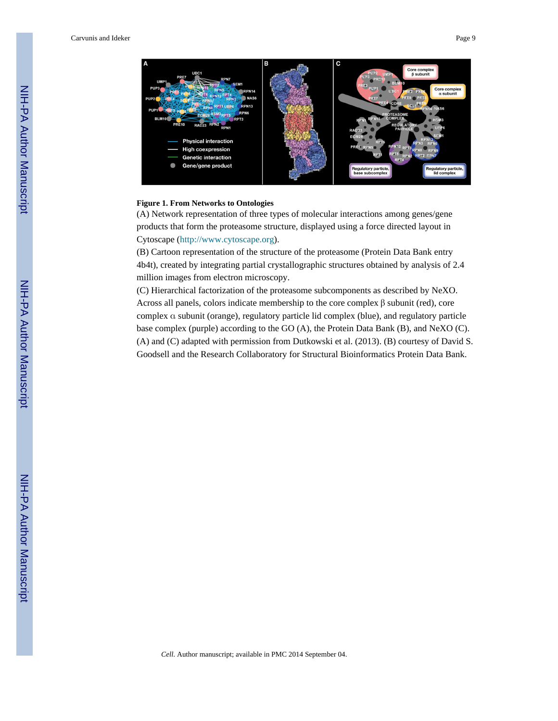

#### **Figure 1. From Networks to Ontologies**

(A) Network representation of three types of molecular interactions among genes/gene products that form the proteasome structure, displayed using a force directed layout in Cytoscape [\(http://www.cytoscape.org\)](http://www.cytoscape.org).

(B) Cartoon representation of the structure of the proteasome (Protein Data Bank entry 4b4t), created by integrating partial crystallographic structures obtained by analysis of 2.4 million images from electron microscopy.

(C) Hierarchical factorization of the proteasome subcomponents as described by NeXO. Across all panels, colors indicate membership to the core complex β subunit (red), core complex α subunit (orange), regulatory particle lid complex (blue), and regulatory particle base complex (purple) according to the GO (A), the Protein Data Bank (B), and NeXO (C). (A) and (C) adapted with permission from Dutkowski et al. (2013). (B) courtesy of David S. Goodsell and the Research Collaboratory for Structural Bioinformatics Protein Data Bank.